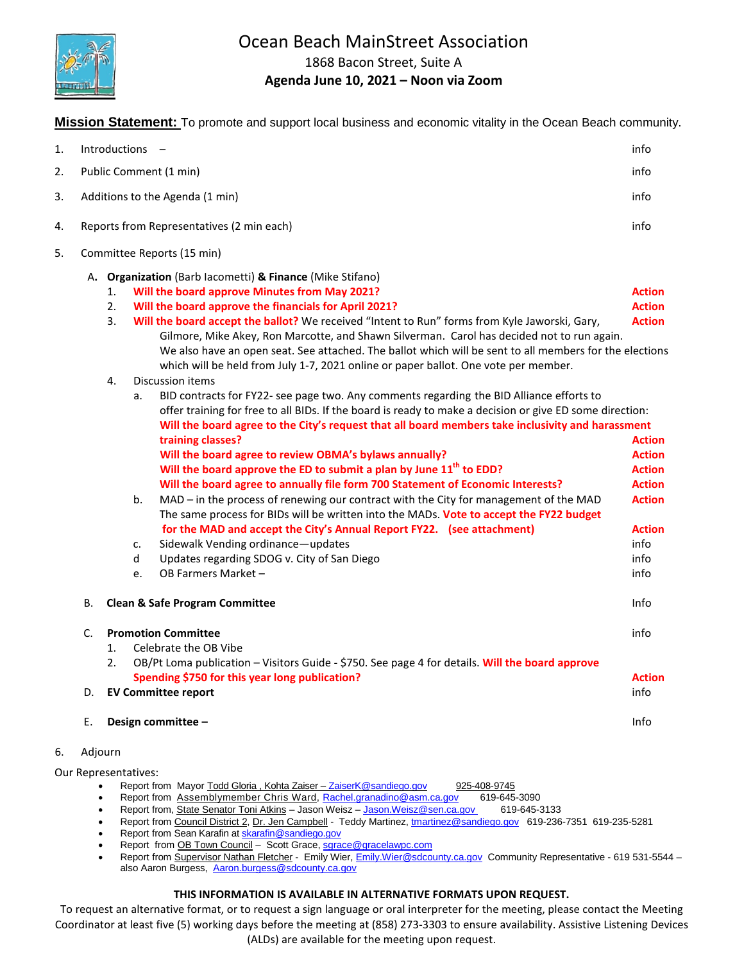

# Ocean Beach MainStreet Association

1868 Bacon Street, Suite A

### **Agenda June 10, 2021 – Noon via Zoom**

**Mission Statement:** To promote and support local business and economic vitality in the Ocean Beach community.

| 1. |    | Introductions -                                                                                                                                                                                                                                                                                                                                                                                                                                                                                                                                                                                                                                                                                                                                                                                                                                                                                                                                                                                                                                                                                                                                                                                                                                                                                                                                                                                                                                                                                                                                                     | info                                                                                                                                                                  |
|----|----|---------------------------------------------------------------------------------------------------------------------------------------------------------------------------------------------------------------------------------------------------------------------------------------------------------------------------------------------------------------------------------------------------------------------------------------------------------------------------------------------------------------------------------------------------------------------------------------------------------------------------------------------------------------------------------------------------------------------------------------------------------------------------------------------------------------------------------------------------------------------------------------------------------------------------------------------------------------------------------------------------------------------------------------------------------------------------------------------------------------------------------------------------------------------------------------------------------------------------------------------------------------------------------------------------------------------------------------------------------------------------------------------------------------------------------------------------------------------------------------------------------------------------------------------------------------------|-----------------------------------------------------------------------------------------------------------------------------------------------------------------------|
| 2. |    | Public Comment (1 min)                                                                                                                                                                                                                                                                                                                                                                                                                                                                                                                                                                                                                                                                                                                                                                                                                                                                                                                                                                                                                                                                                                                                                                                                                                                                                                                                                                                                                                                                                                                                              | info                                                                                                                                                                  |
| 3. |    | Additions to the Agenda (1 min)                                                                                                                                                                                                                                                                                                                                                                                                                                                                                                                                                                                                                                                                                                                                                                                                                                                                                                                                                                                                                                                                                                                                                                                                                                                                                                                                                                                                                                                                                                                                     | info                                                                                                                                                                  |
| 4. |    | Reports from Representatives (2 min each)                                                                                                                                                                                                                                                                                                                                                                                                                                                                                                                                                                                                                                                                                                                                                                                                                                                                                                                                                                                                                                                                                                                                                                                                                                                                                                                                                                                                                                                                                                                           | info                                                                                                                                                                  |
| 5. |    | Committee Reports (15 min)                                                                                                                                                                                                                                                                                                                                                                                                                                                                                                                                                                                                                                                                                                                                                                                                                                                                                                                                                                                                                                                                                                                                                                                                                                                                                                                                                                                                                                                                                                                                          |                                                                                                                                                                       |
|    |    | A. Organization (Barb lacometti) & Finance (Mike Stifano)<br>Will the board approve Minutes from May 2021?<br>1.<br>2.<br>Will the board approve the financials for April 2021?<br>3.<br>Will the board accept the ballot? We received "Intent to Run" forms from Kyle Jaworski, Gary,<br>Gilmore, Mike Akey, Ron Marcotte, and Shawn Silverman. Carol has decided not to run again.<br>We also have an open seat. See attached. The ballot which will be sent to all members for the elections<br>which will be held from July 1-7, 2021 online or paper ballot. One vote per member.<br><b>Discussion items</b><br>4.<br>BID contracts for FY22- see page two. Any comments regarding the BID Alliance efforts to<br>a.<br>offer training for free to all BIDs. If the board is ready to make a decision or give ED some direction:<br>Will the board agree to the City's request that all board members take inclusivity and harassment<br>training classes?<br>Will the board agree to review OBMA's bylaws annually?<br>Will the board approve the ED to submit a plan by June 11 <sup>th</sup> to EDD?<br>Will the board agree to annually file form 700 Statement of Economic Interests?<br>MAD - in the process of renewing our contract with the City for management of the MAD<br>b.<br>The same process for BIDs will be written into the MADs. Vote to accept the FY22 budget<br>for the MAD and accept the City's Annual Report FY22. (see attachment)<br>Sidewalk Vending ordinance-updates<br>c.<br>Updates regarding SDOG v. City of San Diego<br>d | <b>Action</b><br><b>Action</b><br><b>Action</b><br><b>Action</b><br><b>Action</b><br><b>Action</b><br><b>Action</b><br><b>Action</b><br><b>Action</b><br>info<br>info |
|    |    | OB Farmers Market -<br>e.                                                                                                                                                                                                                                                                                                                                                                                                                                                                                                                                                                                                                                                                                                                                                                                                                                                                                                                                                                                                                                                                                                                                                                                                                                                                                                                                                                                                                                                                                                                                           | info                                                                                                                                                                  |
|    | B. | <b>Clean &amp; Safe Program Committee</b>                                                                                                                                                                                                                                                                                                                                                                                                                                                                                                                                                                                                                                                                                                                                                                                                                                                                                                                                                                                                                                                                                                                                                                                                                                                                                                                                                                                                                                                                                                                           | Info                                                                                                                                                                  |
|    | C. | <b>Promotion Committee</b><br>Celebrate the OB Vibe<br>1.<br>2.<br>OB/Pt Loma publication - Visitors Guide - \$750. See page 4 for details. Will the board approve<br>Spending \$750 for this year long publication?                                                                                                                                                                                                                                                                                                                                                                                                                                                                                                                                                                                                                                                                                                                                                                                                                                                                                                                                                                                                                                                                                                                                                                                                                                                                                                                                                | info<br><b>Action</b>                                                                                                                                                 |
|    | D. | <b>EV Committee report</b>                                                                                                                                                                                                                                                                                                                                                                                                                                                                                                                                                                                                                                                                                                                                                                                                                                                                                                                                                                                                                                                                                                                                                                                                                                                                                                                                                                                                                                                                                                                                          | info                                                                                                                                                                  |
|    | Е. | Design committee -                                                                                                                                                                                                                                                                                                                                                                                                                                                                                                                                                                                                                                                                                                                                                                                                                                                                                                                                                                                                                                                                                                                                                                                                                                                                                                                                                                                                                                                                                                                                                  | Info                                                                                                                                                                  |
|    |    |                                                                                                                                                                                                                                                                                                                                                                                                                                                                                                                                                                                                                                                                                                                                                                                                                                                                                                                                                                                                                                                                                                                                                                                                                                                                                                                                                                                                                                                                                                                                                                     |                                                                                                                                                                       |

#### 6. Adjourn

Our Representatives:

- Report from Mayor Todd Gloria, Kohta Zaiser [ZaiserK@sandiego.gov](mailto:ZaiserK@sandiego.gov) 925-408-9745
- Report from Assemblymember Chris Ward, [Rachel.granadino@asm.ca.gov](mailto:Rachel.granadino@asm.ca.gov) 619-645-3090
- Report from, State Senator Toni Atkins Jason Weisz [Jason.Weisz@sen.ca.gov](mailto:Jason.Weisz@sen.ca.gov) 619-645-3133
- Report from Council District 2, Dr. Jen Campbell Teddy Martinez[, tmartinez@sandiego.gov](mailto:tmartinez@sandiego.gov) 619-236-7351 619-235-5281
- Report from Sean Karafin a[t skarafin@sandiego.gov](mailto:skarafin@sandiego.gov)
- Report from OB Town Council Scott Grace, [sgrace@gracelawpc.com](mailto:sgrace@gracelawpc.com)
- Report from Supervisor Nathan Fletcher Emily Wier, [Emily.Wier@sdcounty.ca.gov](mailto:Emily.Wier@sdcounty.ca.gov) Community Representative 619 531-5544 -also Aaron Burgess, [Aaron.burgess@sdcounty.ca.gov](mailto:Aaron.burgess@sdcounty.ca.gov)

#### **THIS INFORMATION IS AVAILABLE IN ALTERNATIVE FORMATS UPON REQUEST.**

To request an alternative format, or to request a sign language or oral interpreter for the meeting, please contact the Meeting Coordinator at least five (5) working days before the meeting at (858) 273-3303 to ensure availability. Assistive Listening Devices (ALDs) are available for the meeting upon request.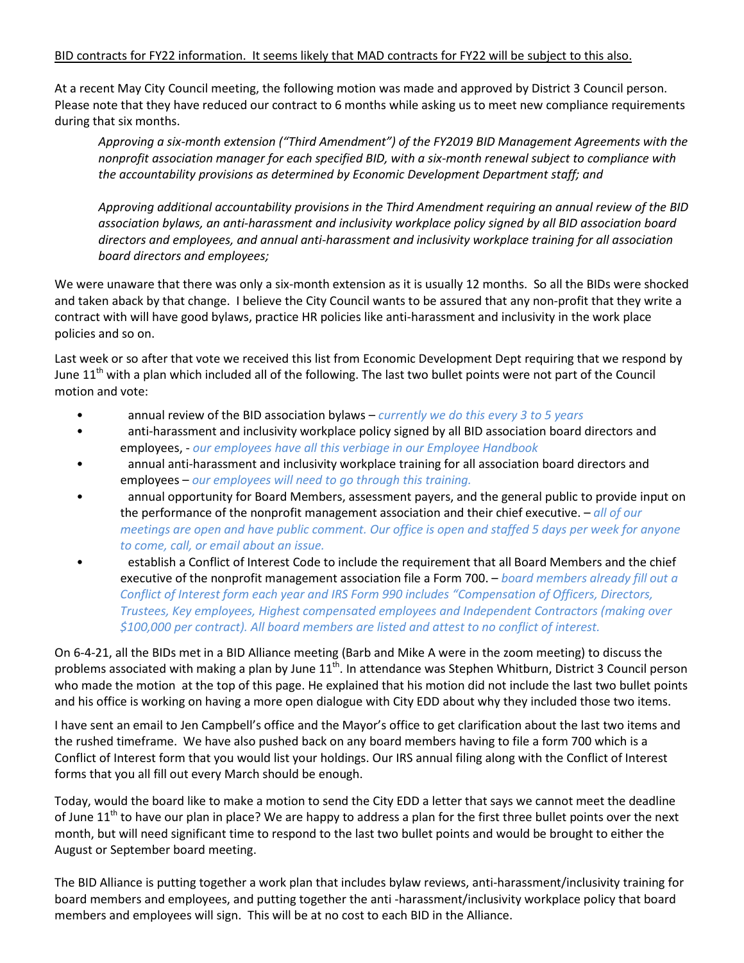#### BID contracts for FY22 information. It seems likely that MAD contracts for FY22 will be subject to this also.

At a recent May City Council meeting, the following motion was made and approved by District 3 Council person. Please note that they have reduced our contract to 6 months while asking us to meet new compliance requirements during that six months.

*Approving a six-month extension ("Third Amendment") of the FY2019 BID Management Agreements with the nonprofit association manager for each specified BID, with a six-month renewal subject to compliance with the accountability provisions as determined by Economic Development Department staff; and*

*Approving additional accountability provisions in the Third Amendment requiring an annual review of the BID association bylaws, an anti-harassment and inclusivity workplace policy signed by all BID association board directors and employees, and annual anti-harassment and inclusivity workplace training for all association board directors and employees;*

We were unaware that there was only a six-month extension as it is usually 12 months. So all the BIDs were shocked and taken aback by that change. I believe the City Council wants to be assured that any non-profit that they write a contract with will have good bylaws, practice HR policies like anti-harassment and inclusivity in the work place policies and so on.

Last week or so after that vote we received this list from Economic Development Dept requiring that we respond by June 11<sup>th</sup> with a plan which included all of the following. The last two bullet points were not part of the Council motion and vote:

- annual review of the BID association bylaws *currently we do this every 3 to 5 years*
- anti-harassment and inclusivity workplace policy signed by all BID association board directors and employees, - *our employees have all this verbiage in our Employee Handbook*
- annual anti-harassment and inclusivity workplace training for all association board directors and employees – *our employees will need to go through this training.*
- annual opportunity for Board Members, assessment payers, and the general public to provide input on the performance of the nonprofit management association and their chief executive. – *all of our meetings are open and have public comment. Our office is open and staffed 5 days per week for anyone to come, call, or email about an issue.*
- establish a Conflict of Interest Code to include the requirement that all Board Members and the chief executive of the nonprofit management association file a Form 700. – *board members already fill out a Conflict of Interest form each year and IRS Form 990 includes "Compensation of Officers, Directors, Trustees, Key employees, Highest compensated employees and Independent Contractors (making over \$100,000 per contract). All board members are listed and attest to no conflict of interest.*

On 6-4-21, all the BIDs met in a BID Alliance meeting (Barb and Mike A were in the zoom meeting) to discuss the problems associated with making a plan by June  $11^{th}$ . In attendance was Stephen Whitburn, District 3 Council person who made the motion at the top of this page. He explained that his motion did not include the last two bullet points and his office is working on having a more open dialogue with City EDD about why they included those two items.

I have sent an email to Jen Campbell's office and the Mayor's office to get clarification about the last two items and the rushed timeframe. We have also pushed back on any board members having to file a form 700 which is a Conflict of Interest form that you would list your holdings. Our IRS annual filing along with the Conflict of Interest forms that you all fill out every March should be enough.

Today, would the board like to make a motion to send the City EDD a letter that says we cannot meet the deadline of June  $11<sup>th</sup>$  to have our plan in place? We are happy to address a plan for the first three bullet points over the next month, but will need significant time to respond to the last two bullet points and would be brought to either the August or September board meeting.

The BID Alliance is putting together a work plan that includes bylaw reviews, anti-harassment/inclusivity training for board members and employees, and putting together the anti -harassment/inclusivity workplace policy that board members and employees will sign. This will be at no cost to each BID in the Alliance.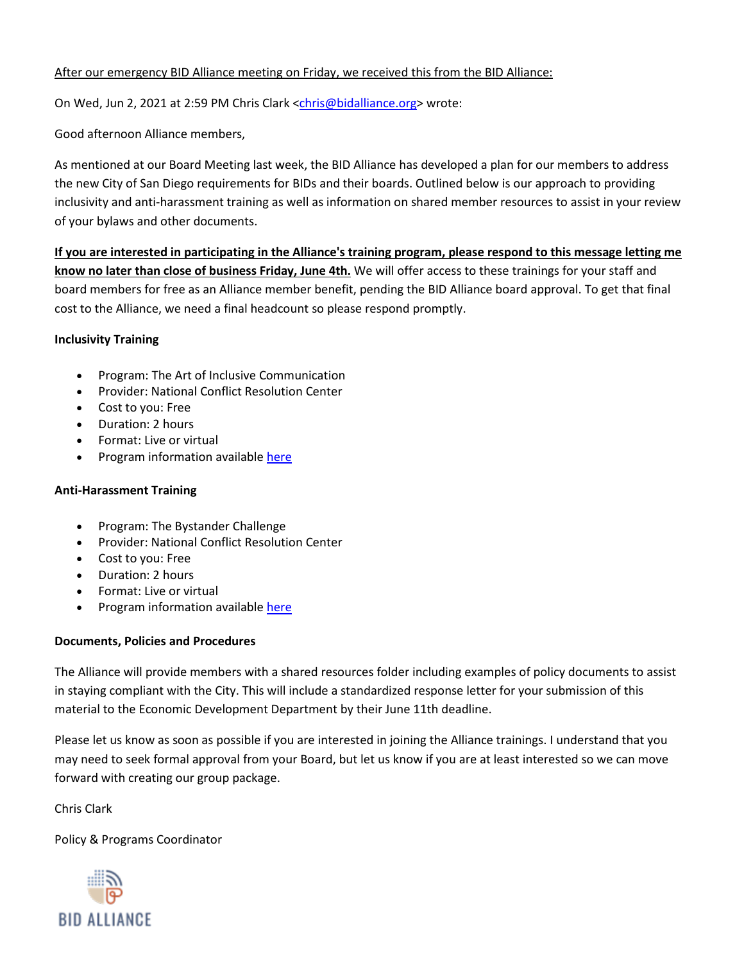### After our emergency BID Alliance meeting on Friday, we received this from the BID Alliance:

On Wed, Jun 2, 2021 at 2:59 PM Chris Clark [<chris@bidalliance.org>](mailto:chris@bidalliance.org) wrote:

Good afternoon Alliance members,

As mentioned at our Board Meeting last week, the BID Alliance has developed a plan for our members to address the new City of San Diego requirements for BIDs and their boards. Outlined below is our approach to providing inclusivity and anti-harassment training as well as information on shared member resources to assist in your review of your bylaws and other documents.

**If you are interested in participating in the Alliance's training program, please respond to this message letting me know no later than close of business Friday, June 4th.** We will offer access to these trainings for your staff and board members for free as an Alliance member benefit, pending the BID Alliance board approval. To get that final cost to the Alliance, we need a final headcount so please respond promptly.

#### **Inclusivity Training**

- Program: The Art of Inclusive Communication
- Provider: National Conflict Resolution Center
- Cost to you: Free
- Duration: 2 hours
- Format: Live or virtual
- Program information availabl[e here](https://www.ncrconline.com/mediation-conflict-resolution-training/worshops/art-inclusive-communication)

## **Anti-Harassment Training**

- Program: The Bystander Challenge
- Provider: National Conflict Resolution Center
- Cost to you: Free
- Duration: 2 hours
- Format: Live or virtual
- Program information availabl[e here](https://www.ncrconline.com/bystander)

## **Documents, Policies and Procedures**

The Alliance will provide members with a shared resources folder including examples of policy documents to assist in staying compliant with the City. This will include a standardized response letter for your submission of this material to the Economic Development Department by their June 11th deadline.

Please let us know as soon as possible if you are interested in joining the Alliance trainings. I understand that you may need to seek formal approval from your Board, but let us know if you are at least interested so we can move forward with creating our group package.

Chris Clark

Policy & Programs Coordinator